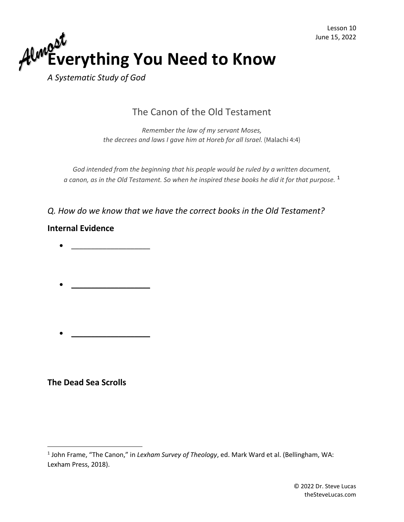

*A Systematic Study of God*

# The Canon of the Old Testament

*Remember the law of my servant Moses, the decrees and laws I gave him at Horeb for all Israel.* (Malachi 4:4)

*God intended from the beginning that his people would be ruled by a written document, a canon, as in the Old Testament. So when he inspired these books he did it for that purpose.* <sup>1</sup>

### *Q. How do we know that we have the correct books in the Old Testament?*

#### **Internal Evidence**

- \_\_\_\_\_\_\_\_\_\_\_\_\_\_\_\_\_\_\_\_
- $\bullet$   $\qquad$
- \_\_\_\_\_\_\_\_\_\_\_\_\_\_\_\_\_\_\_\_

# **The Dead Sea Scrolls**

<sup>1</sup> John Frame, "The Canon," in *Lexham Survey of Theology*, ed. Mark Ward et al. (Bellingham, WA: Lexham Press, 2018).